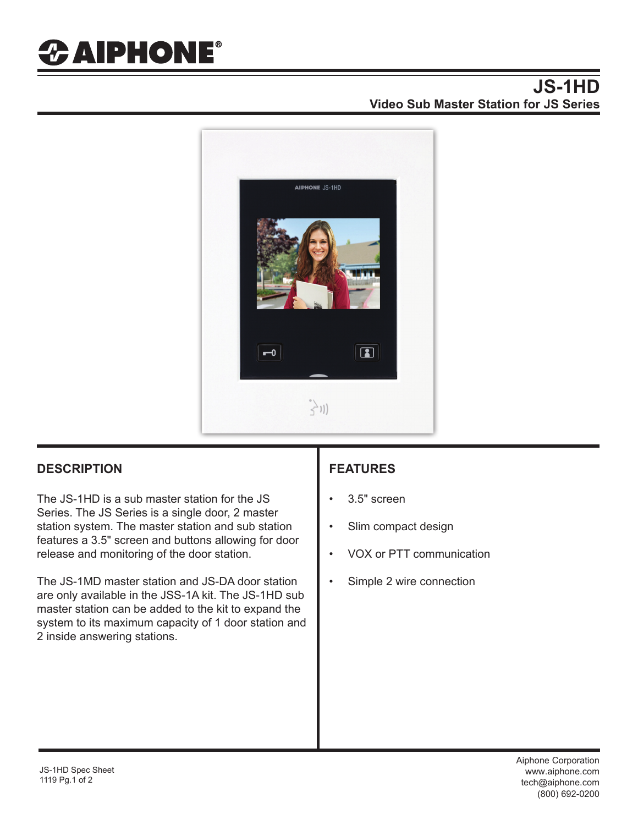# *&* AIPHONE®

### **JS-1HD Video Sub Master Station for JS Series**



### **DESCRIPTION FEATURES**

The JS-1HD is a sub master station for the JS Series. The JS Series is a single door, 2 master station system. The master station and sub station features a 3.5" screen and buttons allowing for door release and monitoring of the door station.

The JS-1MD master station and JS-DA door station are only available in the JSS-1A kit. The JS-1HD sub master station can be added to the kit to expand the system to its maximum capacity of 1 door station and 2 inside answering stations.

- 3.5" screen
- Slim compact design
- VOX or PTT communication
- Simple 2 wire connection